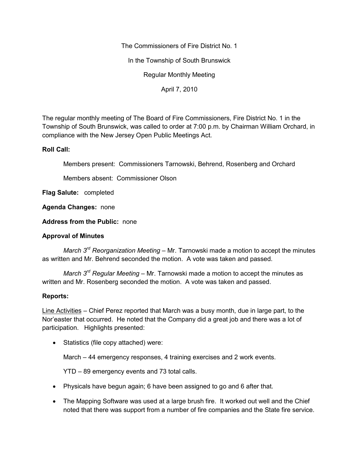The Commissioners of Fire District No. 1

In the Township of South Brunswick

Regular Monthly Meeting

April 7, 2010

The regular monthly meeting of The Board of Fire Commissioners, Fire District No. 1 in the Township of South Brunswick, was called to order at 7:00 p.m. by Chairman William Orchard, in compliance with the New Jersey Open Public Meetings Act.

## **Roll Call:**

Members present: Commissioners Tarnowski, Behrend, Rosenberg and Orchard

Members absent: Commissioner Olson

**Flag Salute:** completed

**Agenda Changes:** none

**Address from the Public:** none

# **Approval of Minutes**

*March 3rd Reorganization Meeting –* Mr. Tarnowski made a motion to accept the minutes as written and Mr. Behrend seconded the motion. A vote was taken and passed.

*March 3rd Regular Meeting –* Mr. Tarnowski made a motion to accept the minutes as written and Mr. Rosenberg seconded the motion. A vote was taken and passed.

## **Reports:**

Line Activities – Chief Perez reported that March was a busy month, due in large part, to the Nor'easter that occurred. He noted that the Company did a great job and there was a lot of participation. Highlights presented:

• Statistics (file copy attached) were:

March – 44 emergency responses, 4 training exercises and 2 work events.

YTD – 89 emergency events and 73 total calls.

- Physicals have begun again; 6 have been assigned to go and 6 after that.
- The Mapping Software was used at a large brush fire. It worked out well and the Chief noted that there was support from a number of fire companies and the State fire service.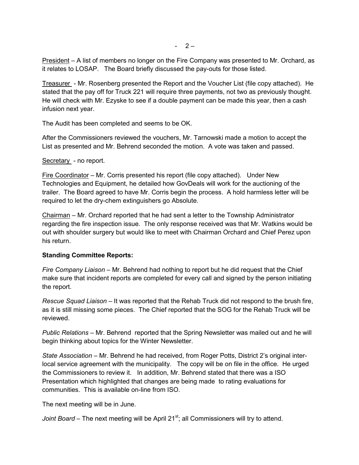President – A list of members no longer on the Fire Company was presented to Mr. Orchard, as it relates to LOSAP. The Board briefly discussed the pay-outs for those listed.

Treasurer - Mr. Rosenberg presented the Report and the Voucher List (file copy attached). He stated that the pay off for Truck 221 will require three payments, not two as previously thought. He will check with Mr. Ezyske to see if a double payment can be made this year, then a cash infusion next year.

The Audit has been completed and seems to be OK.

After the Commissioners reviewed the vouchers, Mr. Tarnowski made a motion to accept the List as presented and Mr. Behrend seconded the motion. A vote was taken and passed.

#### Secretary - no report.

Fire Coordinator – Mr. Corris presented his report (file copy attached). Under New Technologies and Equipment, he detailed how GovDeals will work for the auctioning of the trailer. The Board agreed to have Mr. Corris begin the process. A hold harmless letter will be required to let the dry-chem extinguishers go Absolute.

Chairman – Mr. Orchard reported that he had sent a letter to the Township Administrator regarding the fire inspection issue. The only response received was that Mr. Watkins would be out with shoulder surgery but would like to meet with Chairman Orchard and Chief Perez upon his return.

#### **Standing Committee Reports:**

*Fire Company Liaison –* Mr. Behrend had nothing to report but he did request that the Chief make sure that incident reports are completed for every call and signed by the person initiating the report.

*Rescue Squad Liaison –* It was reported that the Rehab Truck did not respond to the brush fire, as it is still missing some pieces. The Chief reported that the SOG for the Rehab Truck will be reviewed.

*Public Relations –* Mr. Behrend reported that the Spring Newsletter was mailed out and he will begin thinking about topics for the Winter Newsletter.

*State Association –* Mr. Behrend he had received, from Roger Potts, District 2's original interlocal service agreement with the municipality. The copy will be on file in the office. He urged the Commissioners to review it. In addition, Mr. Behrend stated that there was a ISO Presentation which highlighted that changes are being made to rating evaluations for communities. This is available on-line from ISO.

The next meeting will be in June.

*Joint Board* – The next meeting will be April 21<sup>st</sup>; all Commissioners will try to attend.